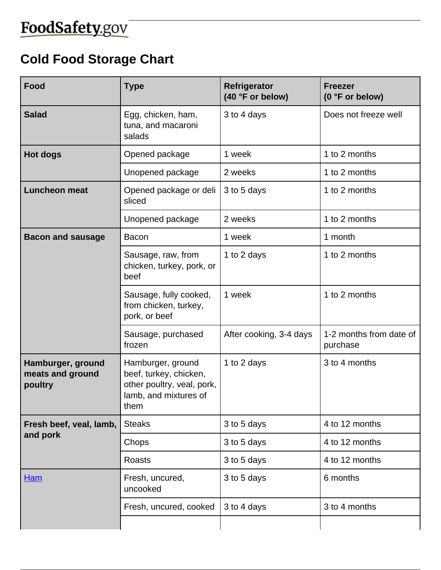## FoodSafety.gov

## **Cold Food Storage Chart**

| Food                                             | <b>Type</b>                                                                                                | Refrigerator<br>(40 °F or below) | <b>Freezer</b><br>(0 °F or below)   |
|--------------------------------------------------|------------------------------------------------------------------------------------------------------------|----------------------------------|-------------------------------------|
| <b>Salad</b>                                     | Egg, chicken, ham,<br>tuna, and macaroni<br>salads                                                         | 3 to 4 days                      | Does not freeze well                |
| <b>Hot dogs</b>                                  | Opened package                                                                                             | 1 week                           | 1 to 2 months                       |
|                                                  | Unopened package                                                                                           | 2 weeks                          | 1 to 2 months                       |
| <b>Luncheon meat</b>                             | Opened package or deli<br>sliced                                                                           | 3 to 5 days                      | 1 to 2 months                       |
|                                                  | Unopened package                                                                                           | 2 weeks                          | 1 to 2 months                       |
| <b>Bacon and sausage</b>                         | Bacon                                                                                                      | 1 week                           | 1 month                             |
|                                                  | Sausage, raw, from<br>chicken, turkey, pork, or<br>beef                                                    | 1 to 2 days                      | 1 to 2 months                       |
|                                                  | Sausage, fully cooked,<br>from chicken, turkey,<br>pork, or beef                                           | 1 week                           | 1 to 2 months                       |
|                                                  | Sausage, purchased<br>frozen                                                                               | After cooking, 3-4 days          | 1-2 months from date of<br>purchase |
| Hamburger, ground<br>meats and ground<br>poultry | Hamburger, ground<br>beef, turkey, chicken,<br>other poultry, veal, pork,<br>lamb, and mixtures of<br>them | 1 to 2 days                      | 3 to 4 months                       |
| Fresh beef, veal, lamb,<br>and pork              | <b>Steaks</b>                                                                                              | 3 to 5 days                      | 4 to 12 months                      |
|                                                  | Chops                                                                                                      | 3 to 5 days                      | 4 to 12 months                      |
|                                                  | <b>Roasts</b>                                                                                              | 3 to 5 days                      | 4 to 12 months                      |
| <b>Ham</b>                                       | Fresh, uncured,<br>uncooked                                                                                | 3 to 5 days                      | 6 months                            |
|                                                  | Fresh, uncured, cooked                                                                                     | 3 to 4 days                      | 3 to 4 months                       |
|                                                  |                                                                                                            |                                  |                                     |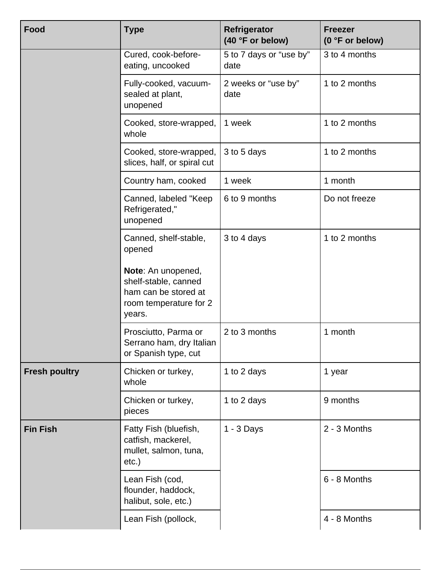| <b>Food</b>          | <b>Type</b>                                                                                            | Refrigerator<br>(40 °F or below) | <b>Freezer</b><br>(0 °F or below) |
|----------------------|--------------------------------------------------------------------------------------------------------|----------------------------------|-----------------------------------|
|                      | Cured, cook-before-<br>eating, uncooked                                                                | 5 to 7 days or "use by"<br>date  | 3 to 4 months                     |
|                      | Fully-cooked, vacuum-<br>sealed at plant,<br>unopened                                                  | 2 weeks or "use by"<br>date      | 1 to 2 months                     |
|                      | Cooked, store-wrapped,<br>whole                                                                        | 1 week                           | 1 to 2 months                     |
|                      | Cooked, store-wrapped,<br>slices, half, or spiral cut                                                  | 3 to 5 days                      | 1 to 2 months                     |
|                      | Country ham, cooked                                                                                    | 1 week                           | 1 month                           |
|                      | Canned, labeled "Keep<br>Refrigerated,"<br>unopened                                                    | 6 to 9 months                    | Do not freeze                     |
|                      | Canned, shelf-stable,<br>opened                                                                        | 3 to 4 days                      | 1 to 2 months                     |
|                      | Note: An unopened,<br>shelf-stable, canned<br>ham can be stored at<br>room temperature for 2<br>years. |                                  |                                   |
|                      | Prosciutto, Parma or<br>Serrano ham, dry Italian<br>or Spanish type, cut                               | 2 to 3 months                    | 1 month                           |
| <b>Fresh poultry</b> | Chicken or turkey,<br>whole                                                                            | 1 to 2 days                      | 1 year                            |
|                      | Chicken or turkey,<br>pieces                                                                           | 1 to 2 days                      | 9 months                          |
| <b>Fin Fish</b>      | Fatty Fish (bluefish,<br>catfish, mackerel,<br>mullet, salmon, tuna,<br>etc.)                          | $1 - 3$ Days                     | 2 - 3 Months                      |
|                      | Lean Fish (cod,<br>flounder, haddock,<br>halibut, sole, etc.)                                          |                                  | 6 - 8 Months                      |
|                      | Lean Fish (pollock,                                                                                    |                                  | 4 - 8 Months                      |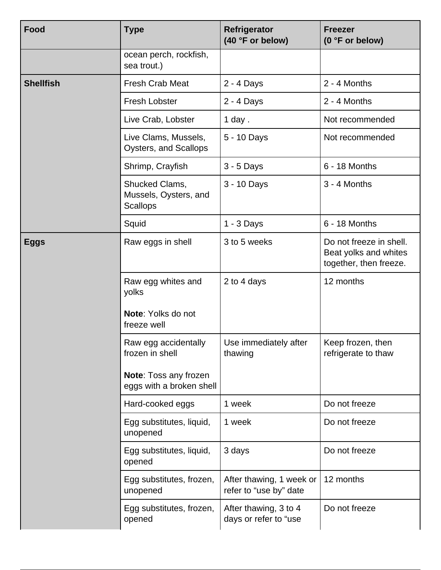| Food             | <b>Type</b>                                                | Refrigerator<br>(40 °F or below)                   | <b>Freezer</b><br>(0 °F or below)                                          |
|------------------|------------------------------------------------------------|----------------------------------------------------|----------------------------------------------------------------------------|
|                  | ocean perch, rockfish,<br>sea trout.)                      |                                                    |                                                                            |
| <b>Shellfish</b> | <b>Fresh Crab Meat</b>                                     | 2 - 4 Days                                         | 2 - 4 Months                                                               |
|                  | Fresh Lobster                                              | 2 - 4 Days                                         | 2 - 4 Months                                                               |
|                  | Live Crab, Lobster                                         | $1$ day.                                           | Not recommended                                                            |
|                  | Live Clams, Mussels,<br>Oysters, and Scallops              | 5 - 10 Days                                        | Not recommended                                                            |
|                  | Shrimp, Crayfish                                           | $3 - 5$ Days                                       | 6 - 18 Months                                                              |
|                  | Shucked Clams,<br>Mussels, Oysters, and<br><b>Scallops</b> | 3 - 10 Days                                        | 3 - 4 Months                                                               |
|                  | Squid                                                      | $1 - 3$ Days                                       | 6 - 18 Months                                                              |
| <b>Eggs</b>      | Raw eggs in shell                                          | 3 to 5 weeks                                       | Do not freeze in shell.<br>Beat yolks and whites<br>together, then freeze. |
|                  | Raw egg whites and<br>yolks                                | 2 to 4 days                                        | 12 months                                                                  |
|                  | Note: Yolks do not<br>freeze well                          |                                                    |                                                                            |
|                  | Raw egg accidentally<br>frozen in shell                    | Use immediately after<br>thawing                   | Keep frozen, then<br>refrigerate to thaw                                   |
|                  | Note: Toss any frozen<br>eggs with a broken shell          |                                                    |                                                                            |
|                  | Hard-cooked eggs                                           | 1 week                                             | Do not freeze                                                              |
|                  | Egg substitutes, liquid,<br>unopened                       | 1 week                                             | Do not freeze                                                              |
|                  | Egg substitutes, liquid,<br>opened                         | 3 days                                             | Do not freeze                                                              |
|                  | Egg substitutes, frozen,<br>unopened                       | After thawing, 1 week or<br>refer to "use by" date | 12 months                                                                  |
|                  | Egg substitutes, frozen,<br>opened                         | After thawing, 3 to 4<br>days or refer to "use     | Do not freeze                                                              |